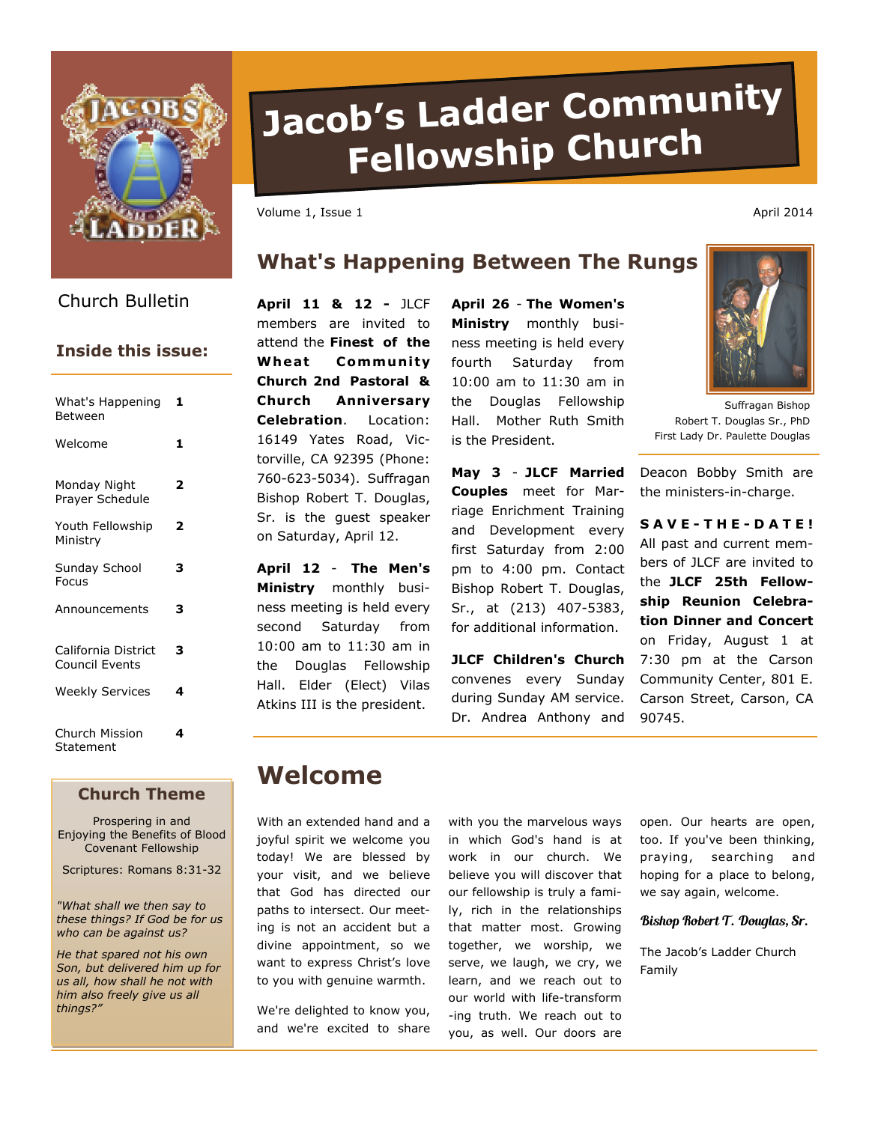

# **Jacob's Ladder Community Fellowship Churc<sup>h</sup>**

Volume 1, Issue 1 April 2014

## **What's Happening Between The Rungs**

Church Bulletin **April 11 & 12 -** JLCF

## **Inside this issue:**

| What's Happening<br>Between                  | 1 |
|----------------------------------------------|---|
| Welcome                                      | 1 |
| Monday Night<br>Prayer Schedule              | 2 |
| Youth Fellowship<br>Ministry                 | 2 |
| Sunday School<br>Focus                       | з |
| Announcements                                | з |
| California District<br><b>Council Events</b> | з |
| <b>Weekly Services</b>                       | 4 |
| Church Mission<br>Statement                  | 4 |

#### **Church Theme**

Prospering in and Enjoying the Benefits of Blood Covenant Fellowship

Scriptures: Romans 8:31-32

*"What shall we then say to these things? If God be for us who can be against us?* 

*He that spared not his own Son, but delivered him up for us all, how shall he not with him also freely give us all things?"* 

members are invited to attend the **Finest of the Wheat Community Church 2nd Pastoral & Church Anniversary Celebration**. Location: 16149 Yates Road, Victorville, CA 92395 (Phone: 760-623-5034). Suffragan Bishop Robert T. Douglas, Sr. is the guest speaker on Saturday, April 12.

**April 12** - **The Men's Ministry** monthly business meeting is held every second Saturday from 10:00 am to 11:30 am in the Douglas Fellowship Hall. Elder (Elect) Vilas Atkins III is the president.

**April 26** - **The Women's Ministry** monthly business meeting is held every fourth Saturday from 10:00 am to 11:30 am in the Douglas Fellowship Hall. Mother Ruth Smith is the President.

**May 3** - **JLCF Married Couples** meet for Marriage Enrichment Training and Development every first Saturday from 2:00 pm to 4:00 pm. Contact Bishop Robert T. Douglas, Sr., at (213) 407-5383, for additional information.

**JLCF Children's Church**  convenes every Sunday during Sunday AM service. Dr. Andrea Anthony and



Suffragan Bishop Robert T. Douglas Sr., PhD First Lady Dr. Paulette Douglas

Deacon Bobby Smith are the ministers-in-charge.

**S A V E - T H E - D A T E !**  All past and current members of JLCF are invited to the **JLCF 25th Fellowship Reunion Celebration Dinner and Concert** on Friday, August 1 at 7:30 pm at the Carson Community Center, 801 E. Carson Street, Carson, CA 90745.

# **Welcome**

With an extended hand and a joyful spirit we welcome you today! We are blessed by your visit, and we believe that God has directed our paths to intersect. Our meeting is not an accident but a divine appointment, so we want to express Christ's love to you with genuine warmth.

We're delighted to know you, and we're excited to share with you the marvelous ways in which God's hand is at work in our church. We believe you will discover that our fellowship is truly a family, rich in the relationships that matter most. Growing together, we worship, we serve, we laugh, we cry, we learn, and we reach out to our world with life-transform -ing truth. We reach out to you, as well. Our doors are

open. Our hearts are open, too. If you've been thinking, praying, searching and hoping for a place to belong, we say again, welcome.

#### Bishop Robert T. Douglas, Sr.

The Jacob's Ladder Church Family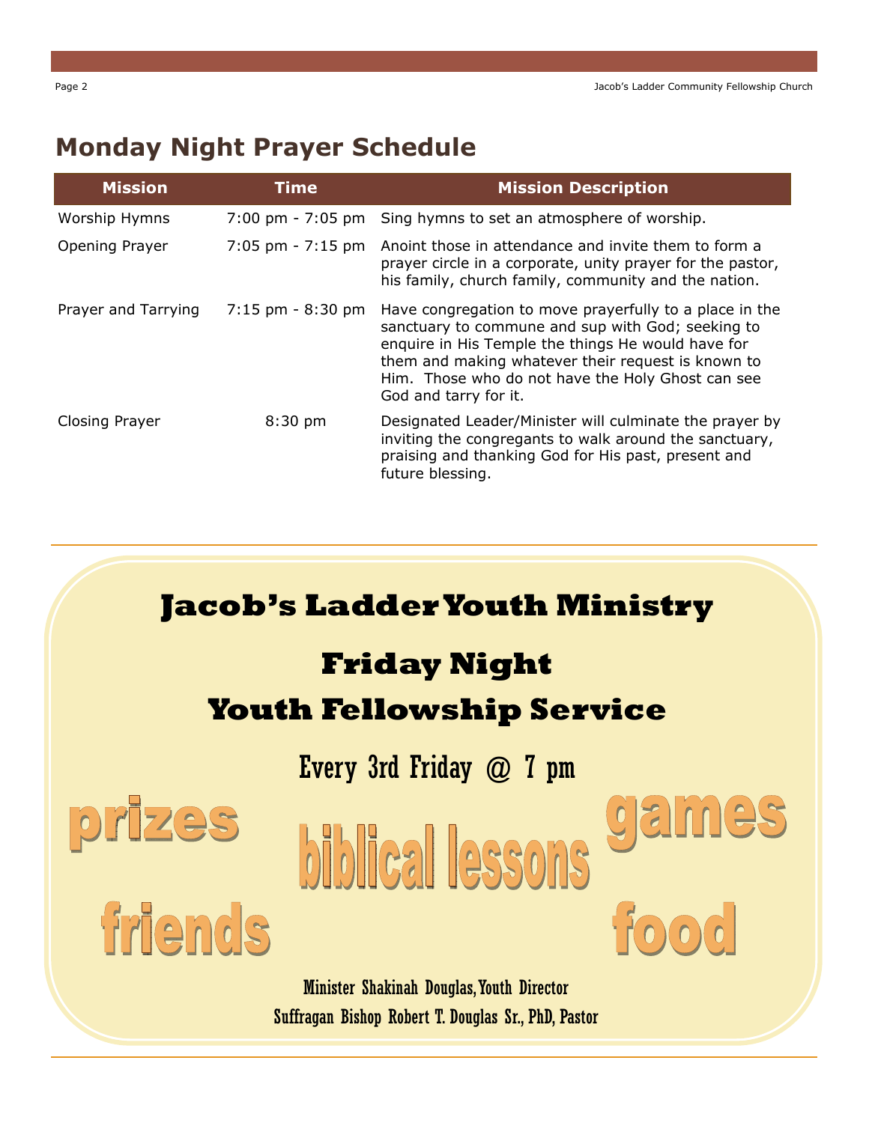# **Monday Night Prayer Schedule**

| <b>Mission</b>        | Time                                | <b>Mission Description</b>                                                                                                                                                                                                                                                                             |
|-----------------------|-------------------------------------|--------------------------------------------------------------------------------------------------------------------------------------------------------------------------------------------------------------------------------------------------------------------------------------------------------|
| Worship Hymns         | $7:00 \text{ pm} - 7:05 \text{ pm}$ | Sing hymns to set an atmosphere of worship.                                                                                                                                                                                                                                                            |
| Opening Prayer        | $7:05$ pm - $7:15$ pm               | Anoint those in attendance and invite them to form a<br>prayer circle in a corporate, unity prayer for the pastor,<br>his family, church family, community and the nation.                                                                                                                             |
| Prayer and Tarrying   | $7:15$ pm $-8:30$ pm                | Have congregation to move prayerfully to a place in the<br>sanctuary to commune and sup with God; seeking to<br>enquire in His Temple the things He would have for<br>them and making whatever their request is known to<br>Him. Those who do not have the Holy Ghost can see<br>God and tarry for it. |
| <b>Closing Prayer</b> | $8:30$ pm                           | Designated Leader/Minister will culminate the prayer by<br>inviting the congregants to walk around the sanctuary,<br>praising and thanking God for His past, present and<br>future blessing.                                                                                                           |



Minister Shakinah Douglas, Youth Director Suffragan Bishop Robert T. Douglas Sr., PhD, Pastor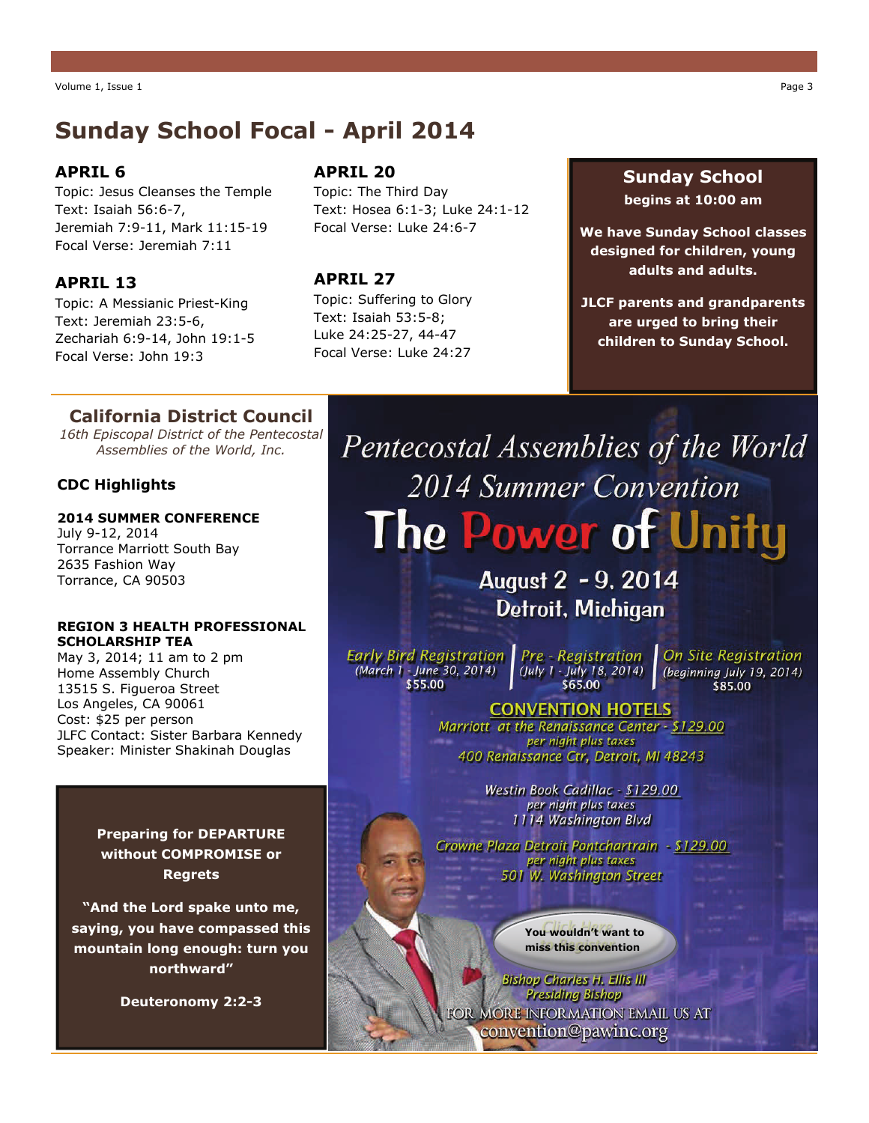## **Sunday School Focal - April 2014**

#### **APRIL 6**

Topic: Jesus Cleanses the Temple Text: Isaiah 56:6-7, Jeremiah 7:9-11, Mark 11:15-19 Focal Verse: Jeremiah 7:11

#### **APRIL 13**

Topic: A Messianic Priest-King Text: Jeremiah 23:5-6, Zechariah 6:9-14, John 19:1-5 Focal Verse: John 19:3

#### **APRIL 20**

Topic: The Third Day Text: Hosea 6:1-3; Luke 24:1-12 Focal Verse: Luke 24:6-7

#### **APRIL 27**

Topic: Suffering to Glory Text: Isaiah 53:5-8; Luke 24:25-27, 44-47 Focal Verse: Luke 24:27

#### **Sunday School begins at 10:00 am**

**We have Sunday School classes designed for children, young adults and adults.** 

**JLCF parents and grandparents are urged to bring their children to Sunday School.** 

### **California District Council**

*16th Episcopal District of the Pentecostal Assemblies of the World, Inc.* 

#### **CDC Highlights**

#### **2014 SUMMER CONFERENCE** July 9-12, 2014 Torrance Marriott South Bay 2635 Fashion Way Torrance, CA 90503

#### **REGION 3 HEALTH PROFESSIONAL SCHOLARSHIP TEA**

May 3, 2014; 11 am to 2 pm Home Assembly Church 13515 S. Figueroa Street Los Angeles, CA 90061 Cost: \$25 per person JLFC Contact: Sister Barbara Kennedy Speaker: Minister Shakinah Douglas

> **Preparing for DEPARTURE without COMPROMISE or Regrets**

**"And the Lord spake unto me, saying, you have compassed this mountain long enough: turn you northward"** 

**Deuteronomy 2:2-3** 

Pentecostal Assemblies of the World 2014 Summer Convention The Power of Unity

> August 2 - 9, 2014 **Detroit, Michigan**

Early Bird Registration | Pre - Registration (March 1 - June 30, 2014) (July 1 - July 18, 2014) \$55.00

**On Site Registration** (beginning July 19, 2014) \$85.00

### **CONVENTION HOTELS**

Marriott at the Renaissance Center - \$129.00 per night plus taxes 400 Renaissance Ctr, Detroit, MI 48243

> Westin Book Cadillac - \$129.00 per night plus taxes 1114 Washington Blvd

Crowne Plaza Detroit Pontchartrain - \$129.00 per night plus taxes 501 W. Washington Street

> **You wouldn't want to miss this convention**

**Bishop Charles H. Ellis III Presiding Bishop** FOR MORE INFORMATION EMAIL US AT convention@pawinc.org